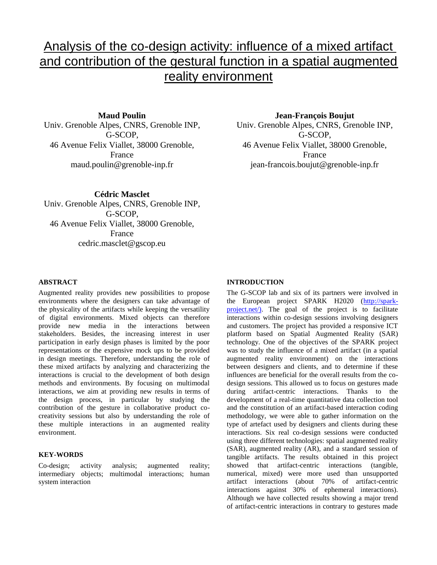# Analysis of the co-design activity: influence of a mixed artifact and contribution of the gestural function in a spatial augmented reality environment

**Maud Poulin**

Univ. Grenoble Alpes, CNRS, Grenoble INP, G-SCOP, 46 Avenue Felix Viallet, 38000 Grenoble, France maud.poulin@grenoble-inp.fr

**Jean-François Boujut** Univ. Grenoble Alpes, CNRS, Grenoble INP, G-SCOP, 46 Avenue Felix Viallet, 38000 Grenoble, France jean-francois.boujut@grenoble-inp.fr

**Cédric Masclet** Univ. Grenoble Alpes, CNRS, Grenoble INP, G-SCOP, 46 Avenue Felix Viallet, 38000 Grenoble, France cedric.masclet@gscop.eu

## **ABSTRACT**

Augmented reality provides new possibilities to propose environments where the designers can take advantage of the physicality of the artifacts while keeping the versatility of digital environments. Mixed objects can therefore provide new media in the interactions between stakeholders. Besides, the increasing interest in user participation in early design phases is limited by the poor representations or the expensive mock ups to be provided in design meetings. Therefore, understanding the role of these mixed artifacts by analyzing and characterizing the interactions is crucial to the development of both design methods and environments. By focusing on multimodal interactions, we aim at providing new results in terms of the design process, in particular by studying the contribution of the gesture in collaborative product cocreativity sessions but also by understanding the role of these multiple interactions in an augmented reality environment.

#### **KEY-WORDS**

Co-design; activity analysis; augmented reality; intermediary objects; multimodal interactions; human system interaction

## **INTRODUCTION**

The G-SCOP lab and six of its partners were involved in the European project SPARK H2020 [\(http://spark](http://spark-project.net/))[project.net/\).](http://spark-project.net/)) The goal of the project is to facilitate interactions within co-design sessions involving designers and customers. The project has provided a responsive ICT platform based on Spatial Augmented Reality (SAR) technology. One of the objectives of the SPARK project was to study the influence of a mixed artifact (in a spatial augmented reality environment) on the interactions between designers and clients, and to determine if these influences are beneficial for the overall results from the codesign sessions. This allowed us to focus on gestures made during artifact-centric interactions. Thanks to the development of a real-time quantitative data collection tool and the constitution of an artifact-based interaction coding methodology, we were able to gather information on the type of artefact used by designers and clients during these interactions. Six real co-design sessions were conducted using three different technologies: spatial augmented reality (SAR), augmented reality (AR), and a standard session of tangible artifacts. The results obtained in this project showed that artifact-centric interactions (tangible, numerical, mixed) were more used than unsupported artifact interactions (about 70% of artifact-centric interactions against 30% of ephemeral interactions). Although we have collected results showing a major trend of artifact-centric interactions in contrary to gestures made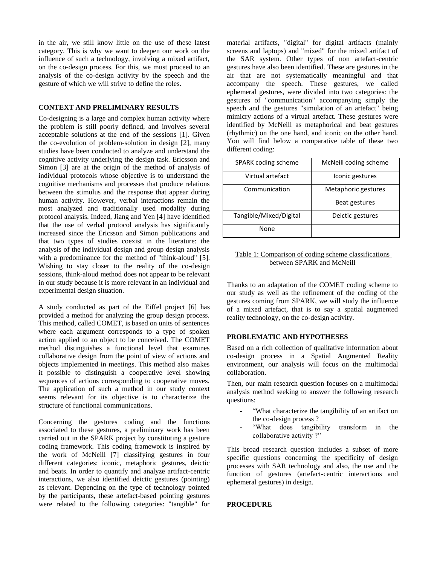in the air, we still know little on the use of these latest category. This is why we want to deepen our work on the influence of such a technology, involving a mixed artifact, on the co-design process. For this, we must proceed to an analysis of the co-design activity by the speech and the gesture of which we will strive to define the roles.

## **CONTEXT AND PRELIMINARY RESULTS**

Co-designing is a large and complex human activity where the problem is still poorly defined, and involves several acceptable solutions at the end of the sessions [1]. Given the co-evolution of problem-solution in design [2], many studies have been conducted to analyze and understand the cognitive activity underlying the design task. Ericsson and Simon [3] are at the origin of the method of analysis of individual protocols whose objective is to understand the cognitive mechanisms and processes that produce relations between the stimulus and the response that appear during human activity. However, verbal interactions remain the most analyzed and traditionally used modality during protocol analysis. Indeed, Jiang and Yen [4] have identified that the use of verbal protocol analysis has significantly increased since the Ericsson and Simon publications and that two types of studies coexist in the literature: the analysis of the individual design and group design analysis with a predominance for the method of "think-aloud" [5]. Wishing to stay closer to the reality of the co-design sessions, think-aloud method does not appear to be relevant in our study because it is more relevant in an individual and experimental design situation.

A study conducted as part of the Eiffel project [6] has provided a method for analyzing the group design process. This method, called COMET, is based on units of sentences where each argument corresponds to a type of spoken action applied to an object to be conceived. The COMET method distinguishes a functional level that examines collaborative design from the point of view of actions and objects implemented in meetings. This method also makes it possible to distinguish a cooperative level showing sequences of actions corresponding to cooperative moves. The application of such a method in our study context seems relevant for its objective is to characterize the structure of functional communications.

Concerning the gestures coding and the functions associated to these gestures, a preliminary work has been carried out in the SPARK project by constituting a gesture coding framework. This coding framework is inspired by the work of McNeill [7] classifying gestures in four different categories: iconic, metaphoric gestures, deictic and beats. In order to quantify and analyze artifact-centric interactions, we also identified deictic gestures (pointing) as relevant. Depending on the type of technology pointed by the participants, these artefact-based pointing gestures were related to the following categories: "tangible" for material artifacts, "digital" for digital artifacts (mainly screens and laptops) and "mixed" for the mixed artifact of the SAR system. Other types of non artefact-centric gestures have also been identified. These are gestures in the air that are not systematically meaningful and that accompany the speech. These gestures, we called ephemeral gestures, were divided into two categories: the gestures of "communication" accompanying simply the speech and the gestures "simulation of an artefact" being mimicry actions of a virtual artefact. These gestures were identified by McNeill as metaphorical and beat gestures (rhythmic) on the one hand, and iconic on the other hand. You will find below a comparative table of these two different coding:

| SPARK coding scheme    | McNeill coding scheme |
|------------------------|-----------------------|
| Virtual artefact       | Iconic gestures       |
| Communication          | Metaphoric gestures   |
|                        | Beat gestures         |
| Tangible/Mixed/Digital | Deictic gestures      |
| <b>None</b>            |                       |

## Table 1: Comparison of coding scheme classifications between SPARK and McNeill

Thanks to an adaptation of the COMET coding scheme to our study as well as the refinement of the coding of the gestures coming from SPARK, we will study the influence of a mixed artefact, that is to say a spatial augmented reality technology, on the co-design activity.

# **PROBLEMATIC AND HYPOTHESES**

Based on a rich collection of qualitative information about co-design process in a Spatial Augmented Reality environment, our analysis will focus on the multimodal collaboration.

Then, our main research question focuses on a multimodal analysis method seeking to answer the following research questions:

- "What characterize the tangibility of an artifact on the co-design process ?
- "What does tangibility transform in the collaborative activity ?"

This broad research question includes a subset of more specific questions concerning the specificity of design processes with SAR technology and also, the use and the function of gestures (artefact-centric interactions and ephemeral gestures) in design.

#### **PROCEDURE**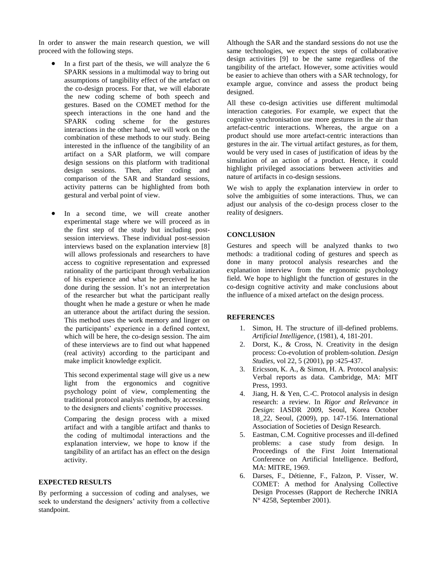In order to answer the main research question, we will proceed with the following steps.

- In a first part of the thesis, we will analyze the 6 SPARK sessions in a multimodal way to bring out assumptions of tangibility effect of the artefact on the co-design process. For that, we will elaborate the new coding scheme of both speech and gestures. Based on the COMET method for the speech interactions in the one hand and the SPARK coding scheme for the gestures interactions in the other hand, we will work on the combination of these methods to our study. Being interested in the influence of the tangibility of an artifact on a SAR platform, we will compare design sessions on this platform with traditional design sessions. Then, after coding and comparison of the SAR and Standard sessions, activity patterns can be highlighted from both gestural and verbal point of view.
- In a second time, we will create another experimental stage where we will proceed as in the first step of the study but including postsession interviews. These individual post-session interviews based on the explanation interview [8] will allows professionals and researchers to have access to cognitive representation and expressed rationality of the participant through verbalization of his experience and what he perceived he has done during the session. It's not an interpretation of the researcher but what the participant really thought when he made a gesture or when he made an utterance about the artifact during the session. This method uses the work memory and linger on the participants' experience in a defined context, which will be here, the co-design session. The aim of these interviews are to find out what happened (real activity) according to the participant and make implicit knowledge explicit.

This second experimental stage will give us a new light from the ergonomics and cognitive psychology point of view, complementing the traditional protocol analysis methods, by accessing to the designers and clients' cognitive processes.

Comparing the design process with a mixed artifact and with a tangible artifact and thanks to the coding of multimodal interactions and the explanation interview, we hope to know if the tangibility of an artifact has an effect on the design activity.

# **EXPECTED RESULTS**

By performing a succession of coding and analyses, we seek to understand the designers' activity from a collective standpoint.

Although the SAR and the standard sessions do not use the same technologies, we expect the steps of collaborative design activities [9] to be the same regardless of the tangibility of the artefact. However, some activities would be easier to achieve than others with a SAR technology, for example argue, convince and assess the product being designed.

All these co-design activities use different multimodal interaction categories. For example, we expect that the cognitive synchronisation use more gestures in the air than artefact-centric interactions. Whereas, the argue on a product should use more artefact-centric interactions than gestures in the air. The virtual artifact gestures, as for them, would be very used in cases of justification of ideas by the simulation of an action of a product. Hence, it could highlight privileged associations between activities and nature of artifacts in co-design sessions.

We wish to apply the explanation interview in order to solve the ambiguities of some interactions. Thus, we can adjust our analysis of the co-design process closer to the reality of designers.

## **CONCLUSION**

Gestures and speech will be analyzed thanks to two methods: a traditional coding of gestures and speech as done in many protocol analysis researches and the explanation interview from the ergonomic psychology field. We hope to highlight the function of gestures in the co-design cognitive activity and make conclusions about the influence of a mixed artefact on the design process.

#### **REFERENCES**

- 1. Simon, H. The structure of ill-defined problems. *Artificial Intelligence*, (1981), 4, 181-201.
- 2. Dorst, K., & Cross, N. Creativity in the design process: Co-evolution of problem-solution. *Design Studies,* vol 22, 5 (2001), pp :425-437.
- 3. Ericsson, K. A., & Simon, H. A. Protocol analysis: Verbal reports as data. Cambridge, MA: MIT Press, 1993.
- 4. Jiang, H. & Yen, C.-C. Protocol analysis in design research: a review. In *Rigor and Relevance in Design*: IASDR 2009, Seoul, Korea October 18\_22, Seoul, (2009), pp. 147-156. International Association of Societies of Design Research.
- 5. Eastman, C.M. Cognitive processes and ill-defined problems: a case study from design. In Proceedings of the First Joint International Conference on Artificial Intelligence. Bedford, MA: MITRE, 1969.
- 6. Darses, F., Détienne, F., Falzon, P. Visser, W. COMET: A method for Analysing Collective Design Processes (Rapport de Recherche INRIA N° 4258, September 2001).